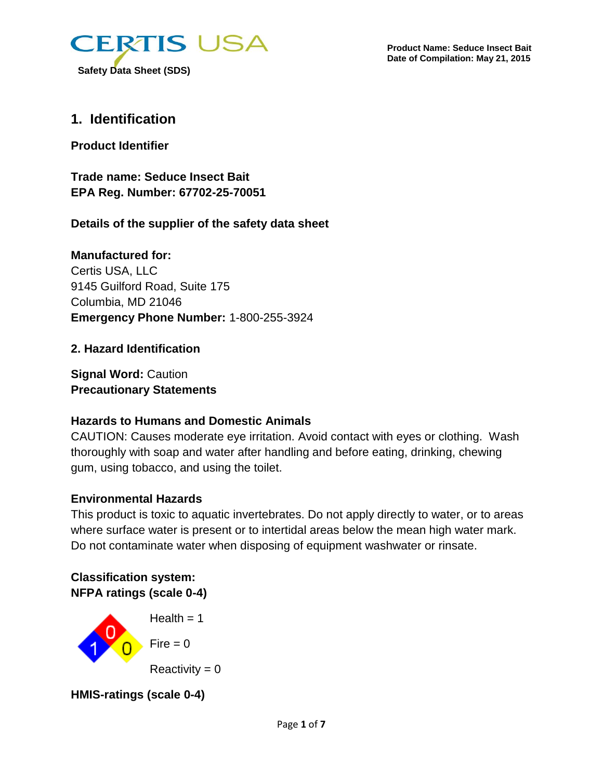

# **1. Identification**

**Product Identifier**

**Trade name: Seduce Insect Bait EPA Reg. Number: 67702-25-70051**

**Details of the supplier of the safety data sheet**

**Manufactured for:** Certis USA, LLC 9145 Guilford Road, Suite 175 Columbia, MD 21046 **Emergency Phone Number:** 1-800-255-3924

## **2. Hazard Identification**

**Signal Word:** Caution **Precautionary Statements**

## **Hazards to Humans and Domestic Animals**

CAUTION: Causes moderate eye irritation. Avoid contact with eyes or clothing. Wash thoroughly with soap and water after handling and before eating, drinking, chewing gum, using tobacco, and using the toilet.

## **Environmental Hazards**

This product is toxic to aquatic invertebrates. Do not apply directly to water, or to areas where surface water is present or to intertidal areas below the mean high water mark. Do not contaminate water when disposing of equipment washwater or rinsate.

**Classification system: NFPA ratings (scale 0-4)**



 $Reactivity = 0$ 

**HMIS-ratings (scale 0-4)**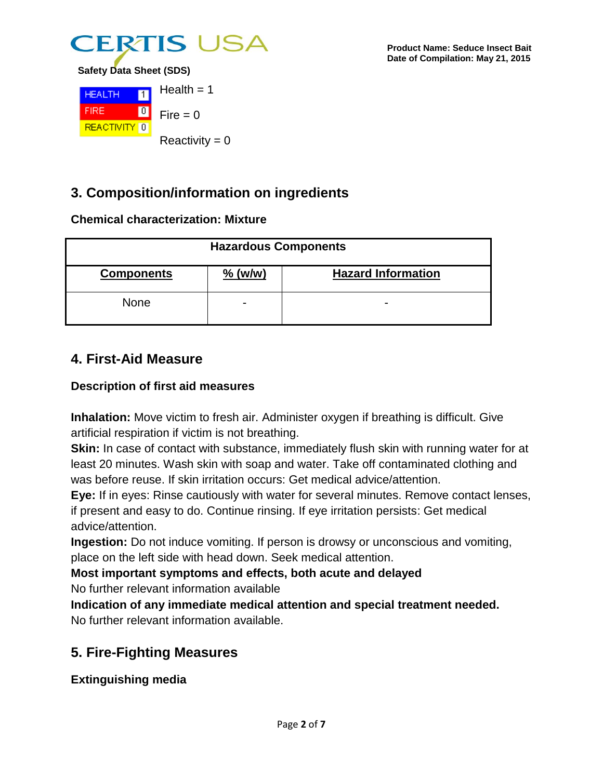



**3. Composition/information on ingredients**

### **Chemical characterization: Mixture**

| <b>Hazardous Components</b> |                          |                           |
|-----------------------------|--------------------------|---------------------------|
| <b>Components</b>           | $%$ (w/w)                | <b>Hazard Information</b> |
| <b>None</b>                 | $\overline{\phantom{0}}$ | $\overline{\phantom{0}}$  |

# **4. First-Aid Measure**

## **Description of first aid measures**

**Inhalation:** Move victim to fresh air. Administer oxygen if breathing is difficult. Give artificial respiration if victim is not breathing.

**Skin:** In case of contact with substance, immediately flush skin with running water for at least 20 minutes. Wash skin with soap and water. Take off contaminated clothing and was before reuse. If skin irritation occurs: Get medical advice/attention.

**Eye:** If in eyes: Rinse cautiously with water for several minutes. Remove contact lenses, if present and easy to do. Continue rinsing. If eye irritation persists: Get medical advice/attention.

**Ingestion:** Do not induce vomiting. If person is drowsy or unconscious and vomiting, place on the left side with head down. Seek medical attention.

**Most important symptoms and effects, both acute and delayed** No further relevant information available

**Indication of any immediate medical attention and special treatment needed.** No further relevant information available.

# **5. Fire-Fighting Measures**

**Extinguishing media**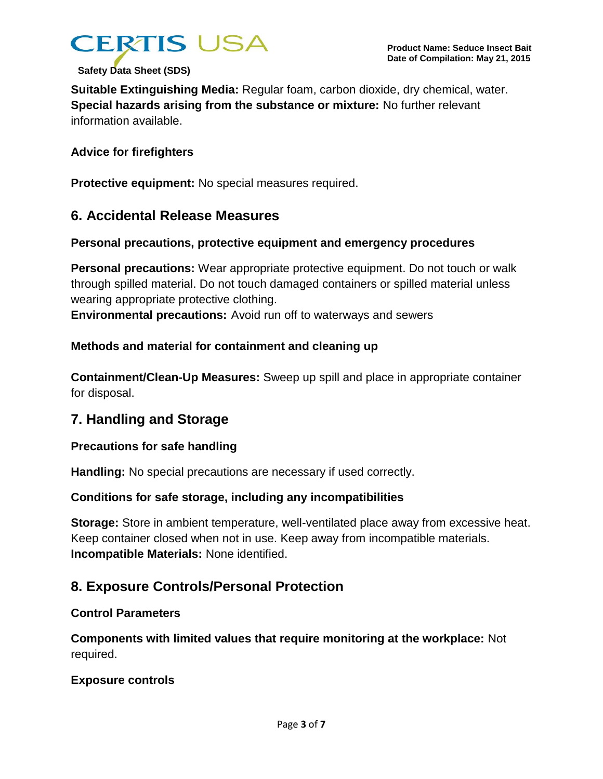

**Suitable Extinguishing Media:** Regular foam, carbon dioxide, dry chemical, water. **Special hazards arising from the substance or mixture:** No further relevant information available.

#### **Advice for firefighters**

**Protective equipment:** No special measures required.

## **6. Accidental Release Measures**

#### **Personal precautions, protective equipment and emergency procedures**

**Personal precautions:** Wear appropriate protective equipment. Do not touch or walk through spilled material. Do not touch damaged containers or spilled material unless wearing appropriate protective clothing.

**Environmental precautions:** Avoid run off to waterways and sewers

#### **Methods and material for containment and cleaning up**

**Containment/Clean-Up Measures:** Sweep up spill and place in appropriate container for disposal.

# **7. Handling and Storage**

#### **Precautions for safe handling**

**Handling:** No special precautions are necessary if used correctly.

#### **Conditions for safe storage, including any incompatibilities**

**Storage:** Store in ambient temperature, well-ventilated place away from excessive heat. Keep container closed when not in use. Keep away from incompatible materials. **Incompatible Materials:** None identified.

## **8. Exposure Controls/Personal Protection**

#### **Control Parameters**

**Components with limited values that require monitoring at the workplace:** Not required.

#### **Exposure controls**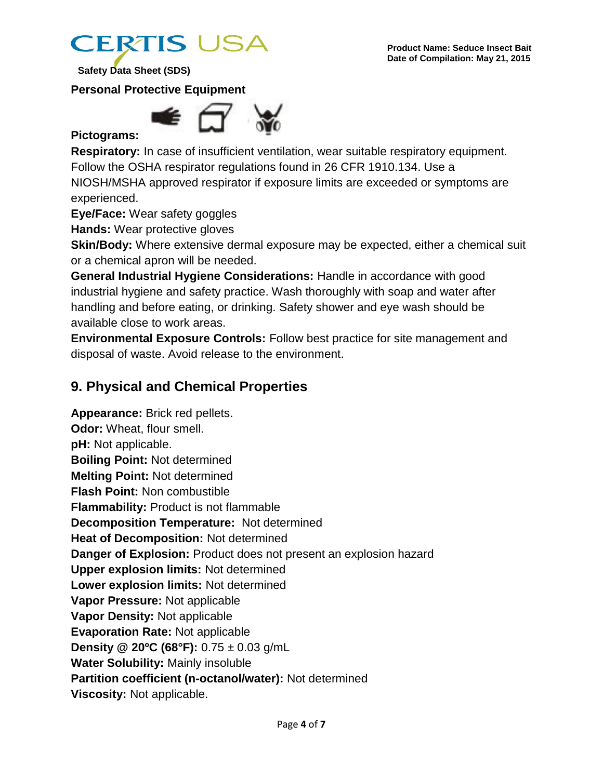

**Personal Protective Equipment**



## **Pictograms:**

**Respiratory:** In case of insufficient ventilation, wear suitable respiratory equipment. Follow the OSHA respirator regulations found in 26 CFR 1910.134. Use a NIOSH/MSHA approved respirator if exposure limits are exceeded or symptoms are experienced.

**Eye/Face:** Wear safety goggles

**Hands:** Wear protective gloves

**Skin/Body:** Where extensive dermal exposure may be expected, either a chemical suit or a chemical apron will be needed.

**General Industrial Hygiene Considerations:** Handle in accordance with good industrial hygiene and safety practice. Wash thoroughly with soap and water after handling and before eating, or drinking. Safety shower and eye wash should be available close to work areas.

**Environmental Exposure Controls:** Follow best practice for site management and disposal of waste. Avoid release to the environment.

# **9. Physical and Chemical Properties**

**Appearance:** Brick red pellets. **Odor:** Wheat, flour smell. **pH:** Not applicable. **Boiling Point:** Not determined **Melting Point:** Not determined **Flash Point:** Non combustible **Flammability:** Product is not flammable **Decomposition Temperature:** Not determined **Heat of Decomposition:** Not determined **Danger of Explosion:** Product does not present an explosion hazard **Upper explosion limits:** Not determined **Lower explosion limits:** Not determined **Vapor Pressure:** Not applicable **Vapor Density:** Not applicable **Evaporation Rate:** Not applicable **Density @ 20ºC (68°F):** 0.75 ± 0.03 g/mL **Water Solubility:** Mainly insoluble **Partition coefficient (n-octanol/water):** Not determined **Viscosity:** Not applicable.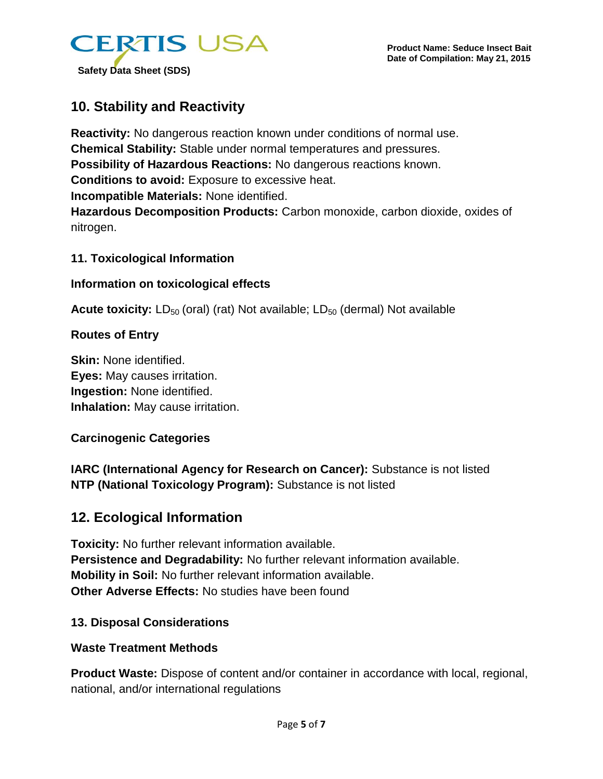

# **10. Stability and Reactivity**

**Reactivity:** No dangerous reaction known under conditions of normal use. **Chemical Stability:** Stable under normal temperatures and pressures. **Possibility of Hazardous Reactions:** No dangerous reactions known. **Conditions to avoid:** Exposure to excessive heat. **Incompatible Materials:** None identified. **Hazardous Decomposition Products:** Carbon monoxide, carbon dioxide, oxides of nitrogen.

#### **11. Toxicological Information**

#### **Information on toxicological effects**

**Acute toxicity:** LD<sub>50</sub> (oral) (rat) Not available; LD<sub>50</sub> (dermal) Not available

#### **Routes of Entry**

**Skin:** None identified. **Eyes:** May causes irritation. **Ingestion:** None identified. **Inhalation:** May cause irritation.

### **Carcinogenic Categories**

**IARC (International Agency for Research on Cancer):** Substance is not listed **NTP (National Toxicology Program):** Substance is not listed

## **12. Ecological Information**

**Toxicity:** No further relevant information available. **Persistence and Degradability:** No further relevant information available. **Mobility in Soil:** No further relevant information available. **Other Adverse Effects:** No studies have been found

### **13. Disposal Considerations**

### **Waste Treatment Methods**

**Product Waste:** Dispose of content and/or container in accordance with local, regional, national, and/or international regulations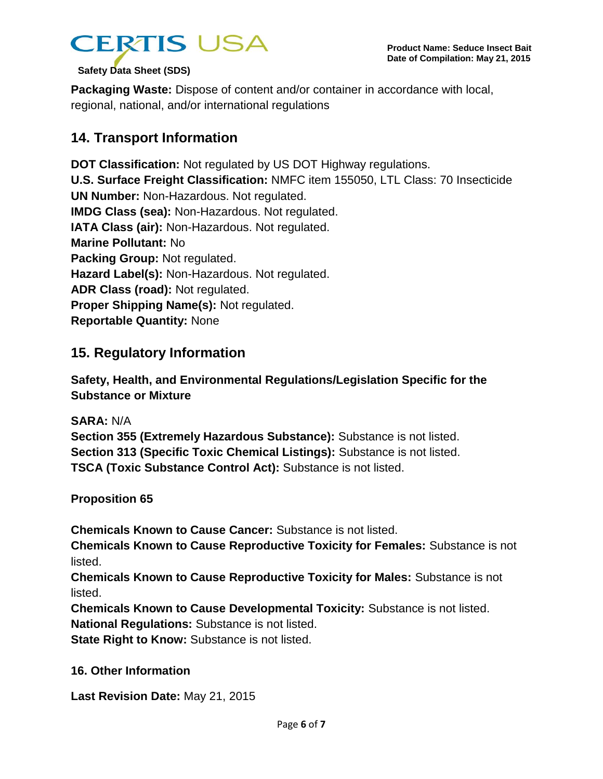

**Packaging Waste:** Dispose of content and/or container in accordance with local, regional, national, and/or international regulations

# **14. Transport Information**

**DOT Classification:** Not regulated by US DOT Highway regulations. **U.S. Surface Freight Classification:** NMFC item 155050, LTL Class: 70 Insecticide **UN Number:** Non-Hazardous. Not regulated. **IMDG Class (sea):** Non-Hazardous. Not regulated. **IATA Class (air):** Non-Hazardous. Not regulated. **Marine Pollutant:** No **Packing Group: Not regulated. Hazard Label(s):** Non-Hazardous. Not regulated. **ADR Class (road):** Not regulated. **Proper Shipping Name(s):** Not regulated. **Reportable Quantity:** None

# **15. Regulatory Information**

**Safety, Health, and Environmental Regulations/Legislation Specific for the Substance or Mixture**

**SARA:** N/A

**Section 355 (Extremely Hazardous Substance):** Substance is not listed. **Section 313 (Specific Toxic Chemical Listings):** Substance is not listed. **TSCA (Toxic Substance Control Act):** Substance is not listed.

**Proposition 65**

**Chemicals Known to Cause Cancer:** Substance is not listed.

**Chemicals Known to Cause Reproductive Toxicity for Females:** Substance is not listed.

**Chemicals Known to Cause Reproductive Toxicity for Males:** Substance is not listed.

**Chemicals Known to Cause Developmental Toxicity:** Substance is not listed. **National Regulations:** Substance is not listed.

**State Right to Know: Substance is not listed.** 

### **16. Other Information**

**Last Revision Date:** May 21, 2015